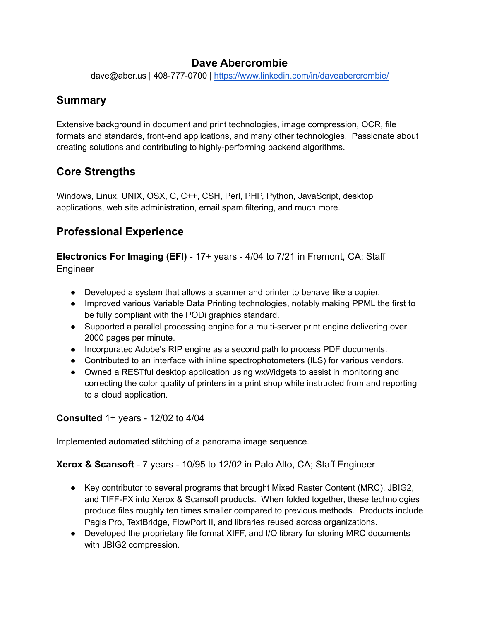#### **Dave Abercrombie**

dave@aber.us | 408-777-0700 | <https://www.linkedin.com/in/daveabercrombie/>

### **Summary**

Extensive background in document and print technologies, image compression, OCR, file formats and standards, front-end applications, and many other technologies. Passionate about creating solutions and contributing to highly-performing backend algorithms.

## **Core Strengths**

Windows, Linux, UNIX, OSX, C, C++, CSH, Perl, PHP, Python, JavaScript, desktop applications, web site administration, email spam filtering, and much more.

## **Professional Experience**

**Electronics For Imaging (EFI)** - 17+ years - 4/04 to 7/21 in Fremont, CA; Staff Engineer

- Developed a system that allows a scanner and printer to behave like a copier.
- Improved various Variable Data Printing technologies, notably making PPML the first to be fully compliant with the PODi graphics standard.
- Supported a parallel processing engine for a multi-server print engine delivering over 2000 pages per minute.
- Incorporated Adobe's RIP engine as a second path to process PDF documents.
- Contributed to an interface with inline spectrophotometers (ILS) for various vendors.
- Owned a RESTful desktop application using wxWidgets to assist in monitoring and correcting the color quality of printers in a print shop while instructed from and reporting to a cloud application.

#### **Consulted** 1+ years - 12/02 to 4/04

Implemented automated stitching of a panorama image sequence.

#### **Xerox & Scansoft** - 7 years - 10/95 to 12/02 in Palo Alto, CA; Staff Engineer

- Key contributor to several programs that brought Mixed Raster Content (MRC), JBIG2, and TIFF-FX into Xerox & Scansoft products. When folded together, these technologies produce files roughly ten times smaller compared to previous methods. Products include Pagis Pro, TextBridge, FlowPort II, and libraries reused across organizations.
- Developed the proprietary file format XIFF, and I/O library for storing MRC documents with JBIG2 compression.